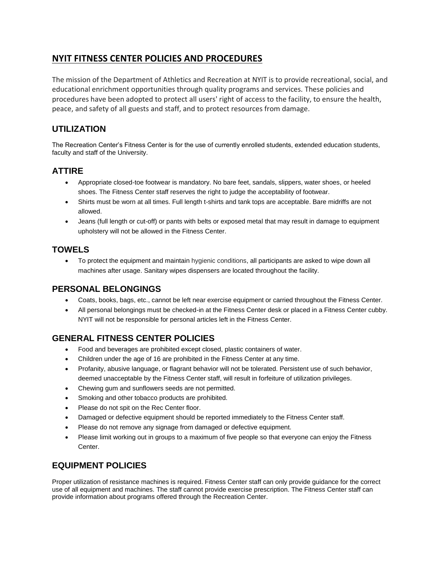# **NYIT FITNESS CENTER POLICIES AND PROCEDURES**

The mission of the Department of Athletics and Recreation at NYIT is to provide recreational, social, and educational enrichment opportunities through quality programs and services. These policies and procedures have been adopted to protect all users' right of access to the facility, to ensure the health, peace, and safety of all guests and staff, and to protect resources from damage.

# **UTILIZATION**

The Recreation Center's Fitness Center is for the use of currently enrolled students, extended education students, faculty and staff of the University.

### **ATTIRE**

- Appropriate closed-toe footwear is mandatory. No bare feet, sandals, slippers, water shoes, or heeled shoes. The Fitness Center staff reserves the right to judge the acceptability of footwear.
- Shirts must be worn at all times. Full length t-shirts and tank tops are acceptable. Bare midriffs are not allowed.
- Jeans (full length or cut-off) or pants with belts or exposed metal that may result in damage to equipment upholstery will not be allowed in the Fitness Center.

### **TOWELS**

 To protect the equipment and maintain hygienic conditions, all participants are asked to wipe down all machines after usage. Sanitary wipes dispensers are located throughout the facility.

### **PERSONAL BELONGINGS**

- Coats, books, bags, etc., cannot be left near exercise equipment or carried throughout the Fitness Center.
- All personal belongings must be checked-in at the Fitness Center desk or placed in a Fitness Center cubby. NYIT will not be responsible for personal articles left in the Fitness Center.

# **GENERAL FITNESS CENTER POLICIES**

- Food and beverages are prohibited except closed, plastic containers of water.
- Children under the age of 16 are prohibited in the Fitness Center at any time.
- Profanity, abusive language, or flagrant behavior will not be tolerated. Persistent use of such behavior, deemed unacceptable by the Fitness Center staff, will result in forfeiture of utilization privileges.
- Chewing gum and sunflowers seeds are not permitted.
- Smoking and other tobacco products are prohibited.
- Please do not spit on the Rec Center floor.
- Damaged or defective equipment should be reported immediately to the Fitness Center staff.
- Please do not remove any signage from damaged or defective equipment.
- Please limit working out in groups to a maximum of five people so that everyone can enjoy the Fitness Center.

## **EQUIPMENT POLICIES**

Proper utilization of resistance machines is required. Fitness Center staff can only provide guidance for the correct use of all equipment and machines. The staff cannot provide exercise prescription. The Fitness Center staff can provide information about programs offered through the Recreation Center.